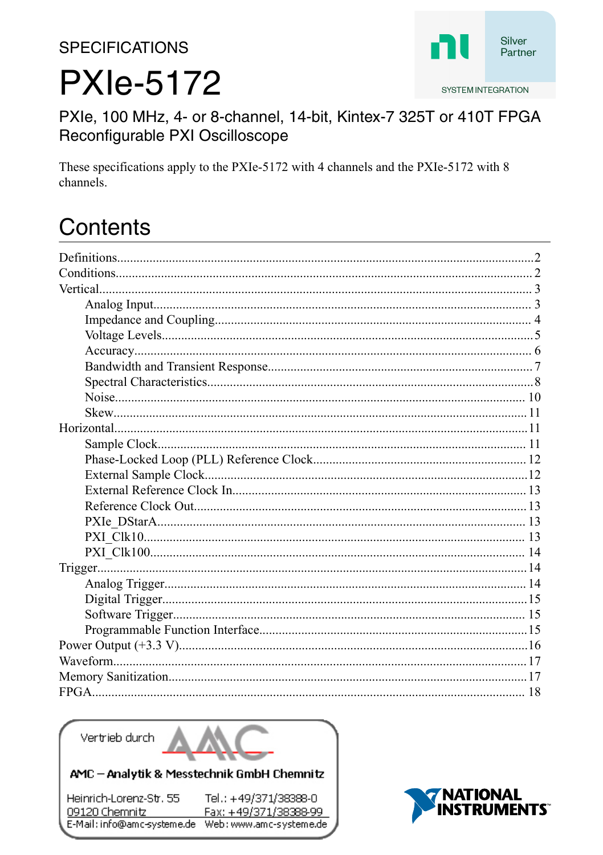**SPECIFICATIONS** 

# **PXIe-5172**

Silver Partner SYSTEM INTEGRATION

PXIe, 100 MHz, 4- or 8-channel, 14-bit, Kintex-7 325T or 410T FPGA Reconfigurable PXI Oscilloscope

These specifications apply to the PXIe-5172 with 4 channels and the PXIe-5172 with 8 channels.

## Contents



AMC - Analytik & Messtechnik GmbH Chemnitz

| Heinrich-Lorenz-Str. 55     | Tel.: +49/371/38388-0   |
|-----------------------------|-------------------------|
| 09120 Chemnitz              | Fax: +49/371/38388-99   |
| E-Mail: info@amc-systeme.de | Web: www.amc-systeme.de |

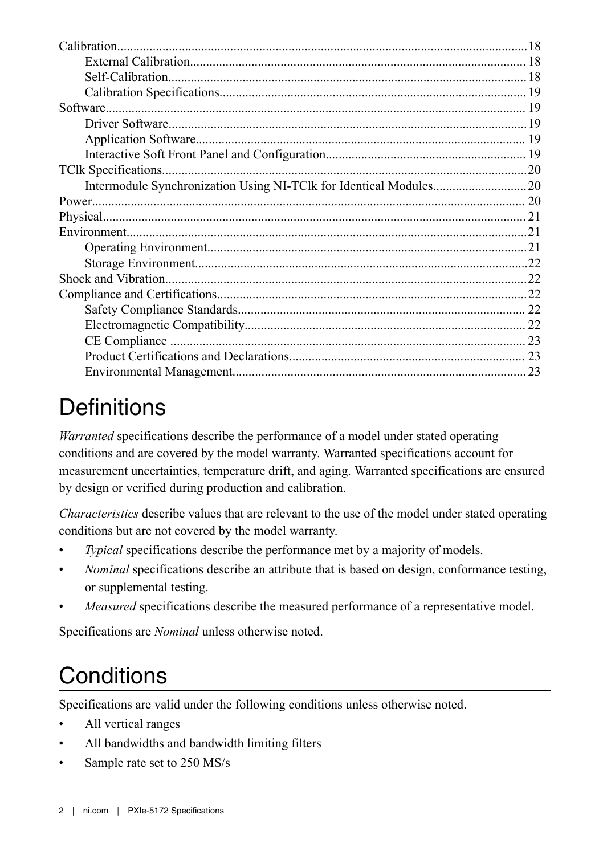<span id="page-1-0"></span>

| Software. |    |
|-----------|----|
|           |    |
|           |    |
|           |    |
|           |    |
|           |    |
|           |    |
|           |    |
|           |    |
|           |    |
|           |    |
|           |    |
|           |    |
|           |    |
|           |    |
|           |    |
|           |    |
|           | 23 |

## **Definitions**

*Warranted* specifications describe the performance of a model under stated operating conditions and are covered by the model warranty. Warranted specifications account for measurement uncertainties, temperature drift, and aging. Warranted specifications are ensured by design or verified during production and calibration.

*Characteristics* describe values that are relevant to the use of the model under stated operating conditions but are not covered by the model warranty.

- *Typical* specifications describe the performance met by a majority of models.
- *Nominal* specifications describe an attribute that is based on design, conformance testing, or supplemental testing.
- *Measured* specifications describe the measured performance of a representative model.

Specifications are *Nominal* unless otherwise noted.

## **Conditions**

Specifications are valid under the following conditions unless otherwise noted.

- All vertical ranges
- All bandwidths and bandwidth limiting filters
- Sample rate set to 250 MS/s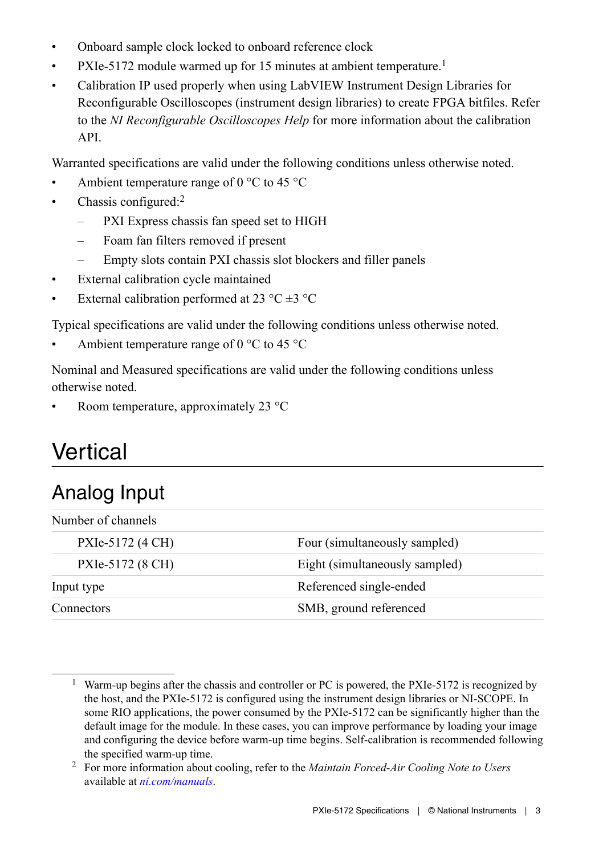- <span id="page-2-0"></span>• Onboard sample clock locked to onboard reference clock
- PXIe-5172 module warmed up for 15 minutes at ambient temperature.<sup>1</sup>
- Calibration IP used properly when using LabVIEW Instrument Design Libraries for Reconfigurable Oscilloscopes (instrument design libraries) to create FPGA bitfiles. Refer to the *NI Reconfigurable Oscilloscopes Help* for more information about the calibration API.

Warranted specifications are valid under the following conditions unless otherwise noted.

- Ambient temperature range of 0  $\degree$ C to 45  $\degree$ C
- Chassis configured $^2$ 
	- PXI Express chassis fan speed set to HIGH
	- Foam fan filters removed if present
	- Empty slots contain PXI chassis slot blockers and filler panels
- External calibration cycle maintained
- External calibration performed at 23  $^{\circ}$ C  $\pm$ 3  $^{\circ}$ C

Typical specifications are valid under the following conditions unless otherwise noted.

Ambient temperature range of 0  $\degree$ C to 45  $\degree$ C

Nominal and Measured specifications are valid under the following conditions unless otherwise noted.

• Room temperature, approximately 23 °C

## **Vertical**

### Analog Input

| Number of channels |                                |
|--------------------|--------------------------------|
| PXIe-5172 (4 CH)   | Four (simultaneously sampled)  |
| PXIe-5172 (8 CH)   | Eight (simultaneously sampled) |
| Input type         | Referenced single-ended        |
| Connectors         | SMB, ground referenced         |

<sup>&</sup>lt;sup>1</sup> Warm-up begins after the chassis and controller or PC is powered, the PXIe-5172 is recognized by the host, and the PXIe-5172 is configured using the instrument design libraries or NI-SCOPE. In some RIO applications, the power consumed by the PXIe-5172 can be significantly higher than the default image for the module. In these cases, you can improve performance by loading your image and configuring the device before warm-up time begins. Self-calibration is recommended following the specified warm-up time.

<sup>2</sup> For more information about cooling, refer to the *Maintain Forced-Air Cooling Note to Users* available at *[ni.com/manuals](http://www.ni.com/manuals)*.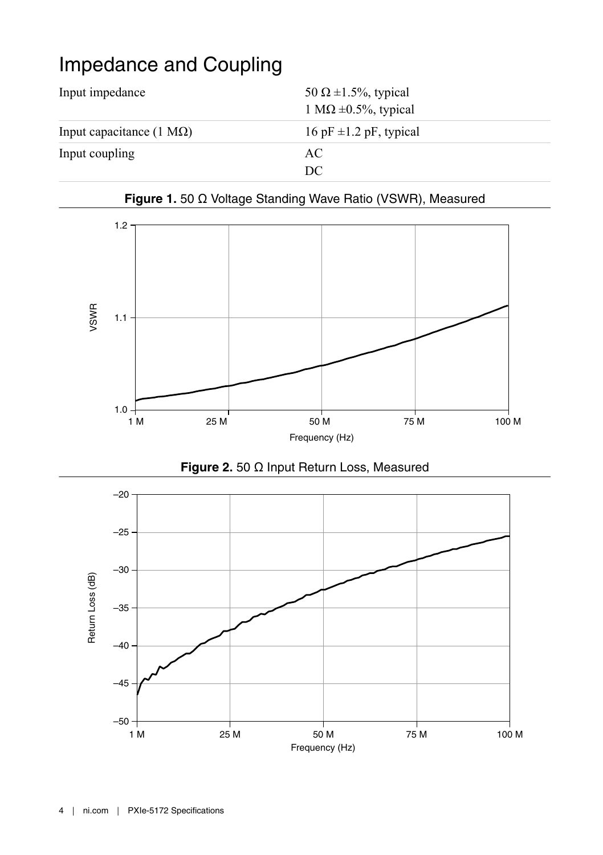### <span id="page-3-0"></span>Impedance and Coupling

| Input impedance                 | 50 $\Omega$ ±1.5%, typical<br>1 M $\Omega$ ±0.5%, typical |
|---------------------------------|-----------------------------------------------------------|
| Input capacitance $(1 M\Omega)$ | 16 pF $\pm$ 1.2 pF, typical                               |
| Input coupling                  | AC<br>DC.                                                 |







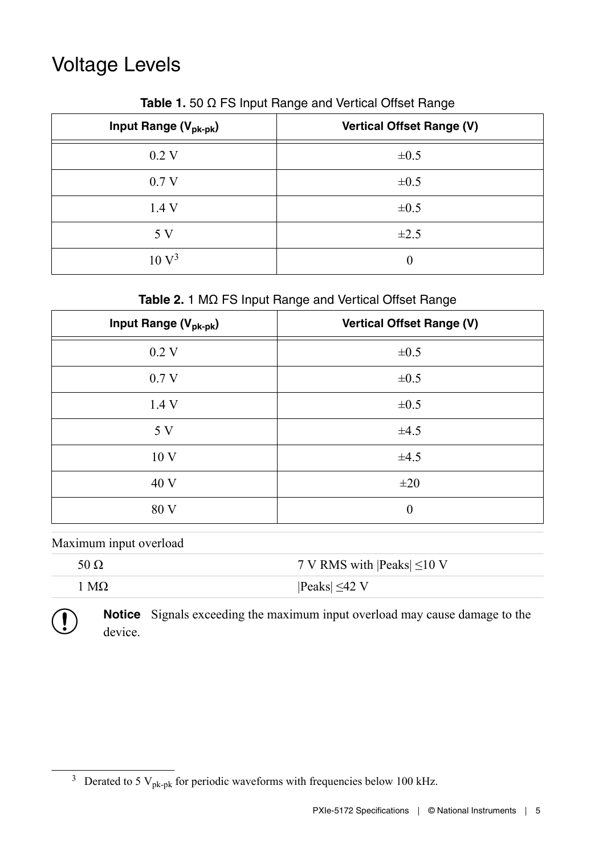## <span id="page-4-0"></span>Voltage Levels

| Input Range (V <sub>pk-pk</sub> ) | Vertical Offset Range (V) |
|-----------------------------------|---------------------------|
| 0.2V                              | $\pm 0.5$                 |
| 0.7V                              | $\pm 0.5$                 |
| 1.4V                              | $\pm 0.5$                 |
| 5 V                               | $\pm 2.5$                 |
| 10V <sup>3</sup>                  | 0                         |

**Table 1.** 50 Ω FS Input Range and Vertical Offset Range

**Table 2.** 1 MΩ FS Input Range and Vertical Offset Range

| Input Range (V <sub>pk-pk</sub> ) | Vertical Offset Range (V) |
|-----------------------------------|---------------------------|
| 0.2V                              | $\pm 0.5$                 |
| 0.7V                              | $\pm 0.5$                 |
| 1.4V                              | $\pm 0.5$                 |
| 5 V                               | ±4.5                      |
| 10 <sub>V</sub>                   | ±4.5                      |
| 40 V                              | $\pm 20$                  |
| 80 V                              | $\theta$                  |

Maximum input overload

 $\left(\begin{smallmatrix}\!\!1\!\! \end{smallmatrix}\right)$ 

| 50 $\Omega$  | 7 V RMS with $\text{Peaks} \leq 10 \text{ V}$ |
|--------------|-----------------------------------------------|
| $^1$ MΩ $^1$ | $\text{Peaks} \leq 42 \text{ V}$              |

**Notice** Signals exceeding the maximum input overload may cause damage to the device.

 $\frac{3}{3}$  Derated to 5 V<sub>pk-pk</sub> for periodic waveforms with frequencies below 100 kHz.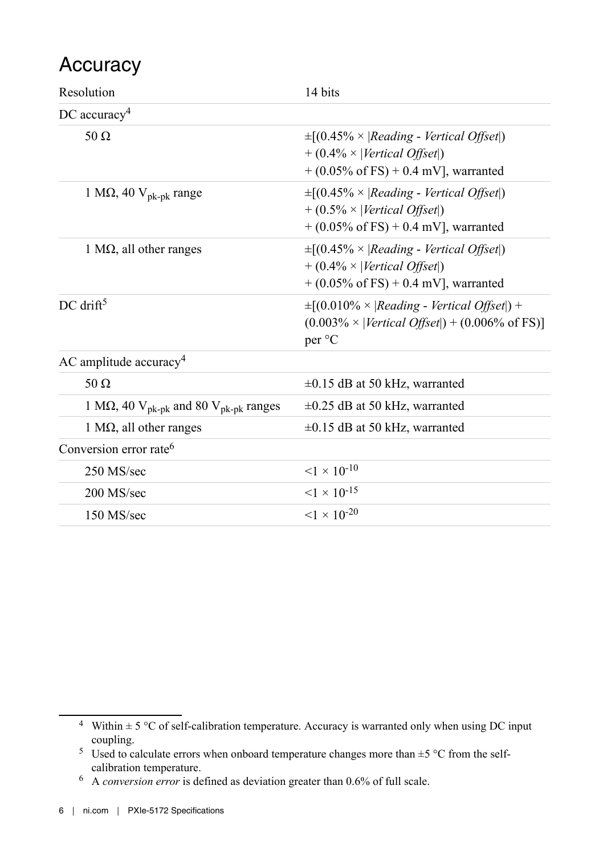### <span id="page-5-0"></span>**Accuracy**

| Resolution                                                            | 14 bits                                                                                                                                |  |
|-----------------------------------------------------------------------|----------------------------------------------------------------------------------------------------------------------------------------|--|
| $DC$ accuracy <sup>4</sup>                                            |                                                                                                                                        |  |
| 50 $\Omega$                                                           | $+$ (0.4% $\times$  Vertical Offset )<br>$+ (0.05\% \text{ of FS}) + 0.4 \text{ mV}$ , warranted                                       |  |
| 1 MΩ, 40 $V_{pk-pk}$ range                                            | $+$ (0.5% $\times$  Vertical Offset )<br>$+$ (0.05% of FS) + 0.4 mV], warranted                                                        |  |
| $1 MΩ$ , all other ranges                                             | $+$ (0.4% $\times$ <i>Vertical Offset</i> )<br>$+$ (0.05% of FS) + 0.4 mV], warranted                                                  |  |
| $DC$ drift <sup>5</sup>                                               | $\pm [(0.010\% \times] Reading - Vertical \; Offset]) +$<br>$(0.003\% \times  Vertical \; Offset ) + (0.006\% \; of \; FS)]$<br>per °C |  |
| AC amplitude accuracy <sup>4</sup>                                    |                                                                                                                                        |  |
| 50 $\Omega$                                                           | $\pm 0.15$ dB at 50 kHz, warranted                                                                                                     |  |
| 1 M $\Omega$ , 40 V <sub>pk-pk</sub> and 80 V <sub>pk-pk</sub> ranges | $\pm 0.25$ dB at 50 kHz, warranted                                                                                                     |  |
| 1 M $\Omega$ , all other ranges                                       | $\pm 0.15$ dB at 50 kHz, warranted                                                                                                     |  |
| Conversion error rate <sup>6</sup>                                    |                                                                                                                                        |  |
| 250 MS/sec                                                            | $<1 \times 10^{-10}$                                                                                                                   |  |
| 200 MS/sec                                                            | $<1 \times 10^{-15}$                                                                                                                   |  |
| 150 MS/sec                                                            | $< 1 \times 10^{-20}$                                                                                                                  |  |

<sup>&</sup>lt;sup>4</sup> Within  $\pm$  5 °C of self-calibration temperature. Accuracy is warranted only when using DC input coupling.

<sup>&</sup>lt;sup>5</sup> Used to calculate errors when onboard temperature changes more than  $\pm$  5 °C from the selfcalibration temperature.

<sup>6</sup> A *conversion error* is defined as deviation greater than 0.6% of full scale.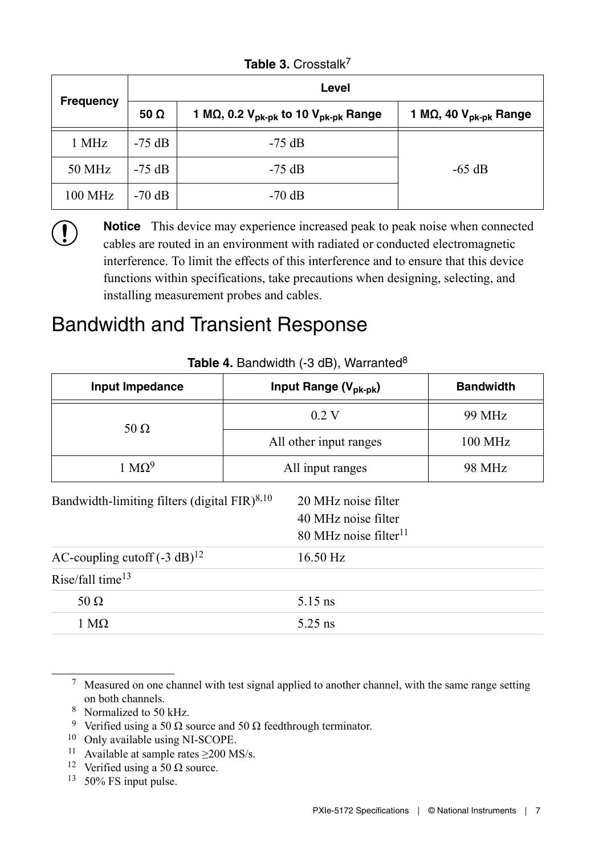<span id="page-6-0"></span>

|           | Level       |                                                                      |                            |
|-----------|-------------|----------------------------------------------------------------------|----------------------------|
| Frequency | 50 $\Omega$ | 1 M $\Omega$ , 0.2 V <sub>pk-pk</sub> to 10 V <sub>pk-pk</sub> Range | 1 MQ, 40 $V_{pk-pk}$ Range |
| 1 MHz     | $-75$ dB    | $-75$ dB                                                             |                            |
| 50 MHz    | $-75$ dB    | $-75$ dB                                                             | $-65$ dB                   |
| 100 MHz   | $-70$ dB    | $-70$ dB                                                             |                            |

**Table 3.** Crosstalk<sup>7</sup>

**Notice** This device may experience increased peak to peak noise when connected cables are routed in an environment with radiated or conducted electromagnetic interference. To limit the effects of this interference and to ensure that this device functions within specifications, take precautions when designing, selecting, and installing measurement probes and cables.

## Bandwidth and Transient Response

| Input Impedance                                 | Input Range (V <sub>pk-pk</sub> )                                      | <b>Bandwidth</b> |
|-------------------------------------------------|------------------------------------------------------------------------|------------------|
|                                                 | 0.2V                                                                   | 99 MHz           |
| 50 $\Omega$                                     | All other input ranges                                                 | 100 MHz          |
| 1 $M\Omega^9$                                   | All input ranges                                                       | 98 MHz           |
| Bandwidth-limiting filters (digital FIR) $8,10$ | 20 MHz noise filter<br>40 MHz noise filter<br>80 MHz noise filter $11$ |                  |
| AC-coupling cutoff $(-3 \text{ dB})^{12}$       | 16.50 Hz                                                               |                  |
| Rise/fall time <sup>13</sup>                    |                                                                        |                  |
| $50 \Omega$                                     | 5.15 ns                                                                |                  |
| $1 M\Omega$                                     | $5.25$ ns                                                              |                  |

Table 4. Bandwidth (-3 dB), Warranted<sup>8</sup>

<sup>7</sup> Measured on one channel with test signal applied to another channel, with the same range setting on both channels.

<sup>8</sup> Normalized to 50 kHz.

 $\mathbf{I}$ 

<sup>9</sup> Verified using a 50 Ω source and 50 Ω feedthrough terminator.

<sup>10</sup> Only available using NI-SCOPE.

<sup>11</sup> Available at sample rates  $\geq$  200 MS/s.

<sup>12</sup> Verified using a 50  $\Omega$  source.

<sup>13</sup> 50% FS input pulse.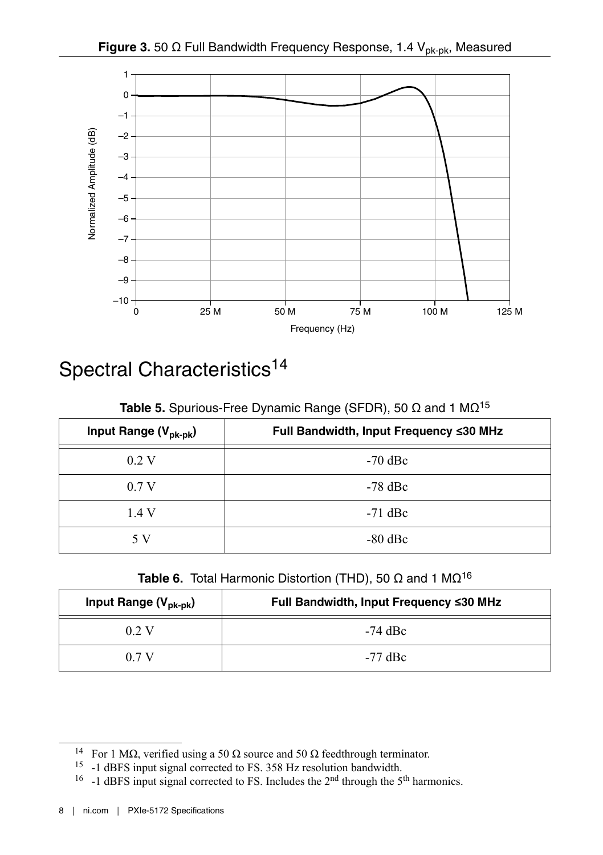<span id="page-7-0"></span>

## Spectral Characteristics<sup>14</sup>

**Table 5.** Spurious-Free Dynamic Range (SFDR), 50 Ω and 1 MΩ<sup>15</sup>

| Input Range (V <sub>pk-pk</sub> ) | Full Bandwidth, Input Frequency ≤30 MHz |
|-----------------------------------|-----------------------------------------|
| 0.2 V                             | $-70$ dBc                               |
| 0.7V                              | $-78$ dBc                               |
| 1.4V                              | $-71$ dBc                               |
| 5 V                               | $-80$ dBc                               |

**Table 6.** Total Harmonic Distortion (THD), 50 Ω and 1 MΩ<sup>16</sup>

| Input Range $(V_{pk-pk})$ | Full Bandwidth, Input Frequency ≤30 MHz |
|---------------------------|-----------------------------------------|
| 0.2 V                     | $-74$ dBc                               |
| 0.7 V                     | $-77$ dBc                               |

<sup>&</sup>lt;sup>14</sup> For 1 MΩ, verified using a 50 Ω source and 50 Ω feedthrough terminator.

<sup>&</sup>lt;sup>15</sup> -1 dBFS input signal corrected to FS. 358 Hz resolution bandwidth.

<sup>&</sup>lt;sup>16</sup> -1 dBFS input signal corrected to FS. Includes the  $2<sup>nd</sup>$  through the 5<sup>th</sup> harmonics.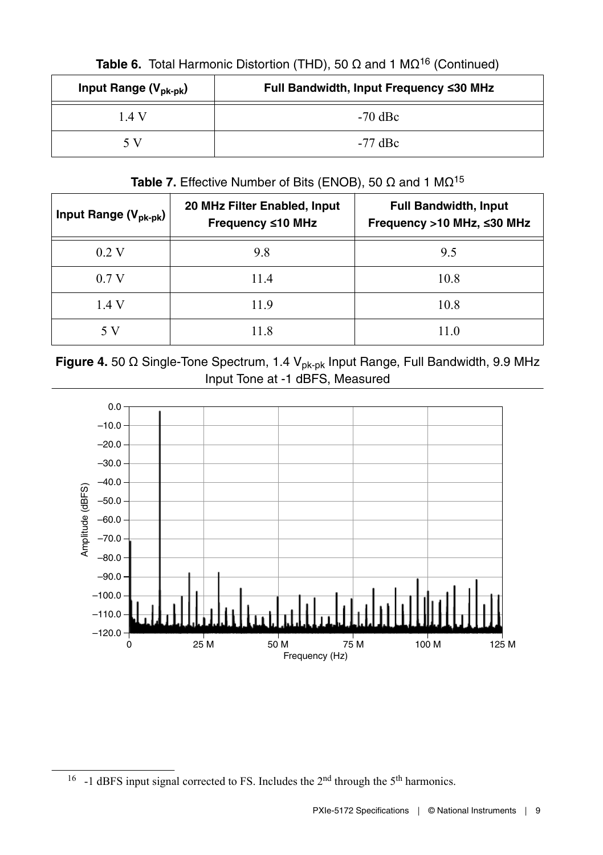| Input Range $(V_{pk-pk})$ | Full Bandwidth, Input Frequency ≤30 MHz |
|---------------------------|-----------------------------------------|
| 1 4 V                     | $-70$ dBc                               |
| 5 V                       | $-77$ dBc                               |

Table 6. Total Harmonic Distortion (THD), 50 Ω and 1 MΩ<sup>16</sup> (Continued)

#### Table 7. Effective Number of Bits (ENOB), 50 Ω and 1 MΩ<sup>15</sup>

| Input Range (V <sub>pk-pk</sub> ) | 20 MHz Filter Enabled, Input<br>Frequency ≤10 MHz | <b>Full Bandwidth, Input</b><br>Frequency >10 MHz, ≤30 MHz |
|-----------------------------------|---------------------------------------------------|------------------------------------------------------------|
| 0.2V                              | 9.8                                               | 9.5                                                        |
| 0.7V                              | 11.4                                              | 10.8                                                       |
| 1.4 V                             | 11.9                                              | 10.8                                                       |
| 5 V                               | 11.8                                              | 11.0                                                       |





<sup>&</sup>lt;sup>16</sup> -1 dBFS input signal corrected to FS. Includes the  $2<sup>nd</sup>$  through the  $5<sup>th</sup>$  harmonics.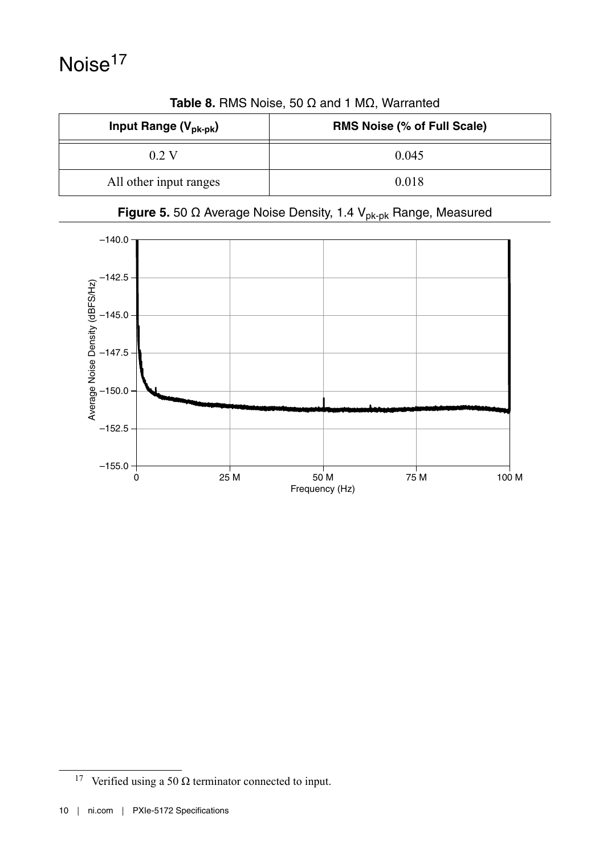<span id="page-9-0"></span>

| Input Range (V <sub>pk-pk</sub> ) | RMS Noise (% of Full Scale) |
|-----------------------------------|-----------------------------|
| 0.2 V                             | 0.045                       |
| All other input ranges            | 0.018                       |

**Table 8.** RMS Noise, 50 Ω and 1 MΩ, Warranted



#### Figure 5. 50 Ω Average Noise Density, 1.4 V<sub>pk-pk</sub> Range, Measured

<sup>&</sup>lt;sup>17</sup> Verified using a 50  $\Omega$  terminator connected to input.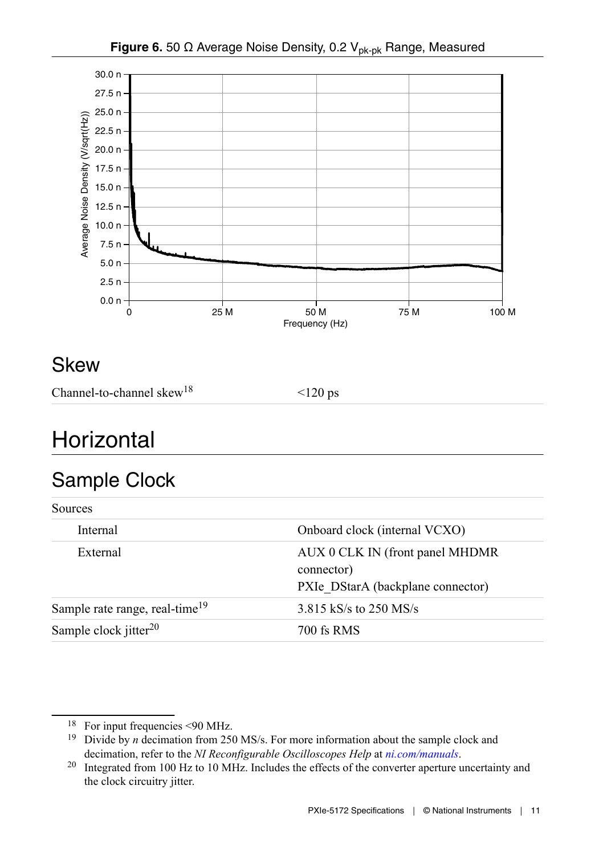<span id="page-10-0"></span>

### **Skew**

Channel-to-channel skew<sup>18</sup>  $\leq 120 \text{ ps}$ 

## **Horizontal**

### Sample Clock

| Sources                                    |                                                                                    |
|--------------------------------------------|------------------------------------------------------------------------------------|
| Internal                                   | Onboard clock (internal VCXO)                                                      |
| External                                   | AUX 0 CLK IN (front panel MHDMR<br>connector)<br>PXIe DStarA (backplane connector) |
| Sample rate range, real-time <sup>19</sup> | 3.815 kS/s to 250 MS/s                                                             |
| Sample clock jitter <sup>20</sup>          | 700 fs RMS                                                                         |

<sup>18</sup> For input frequencies <90 MHz.

<sup>&</sup>lt;sup>19</sup> Divide by *n* decimation from 250 MS/s. For more information about the sample clock and decimation, refer to the *NI Reconfigurable Oscilloscopes Help* at *[ni.com/manuals](http://www.ni.com/manuals)*.

<sup>&</sup>lt;sup>20</sup> Integrated from 100 Hz to 10 MHz. Includes the effects of the converter aperture uncertainty and the clock circuitry jitter.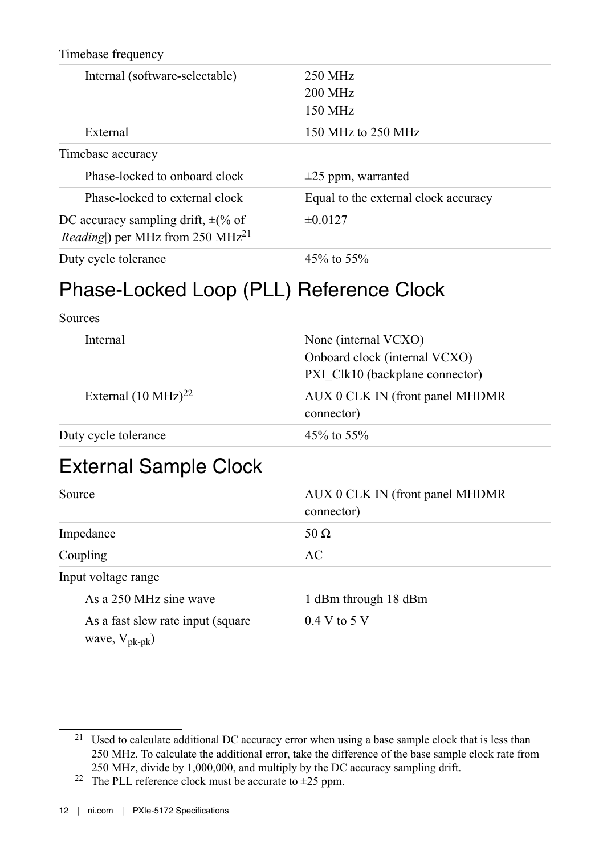#### <span id="page-11-0"></span>Timebase frequency

| Internal (software-selectable)                                                           | 250 MHz                              |
|------------------------------------------------------------------------------------------|--------------------------------------|
|                                                                                          | $200$ MHz                            |
|                                                                                          | 150 MHz                              |
| External                                                                                 | 150 MHz to 250 MHz                   |
| Timebase accuracy                                                                        |                                      |
| Phase-locked to onboard clock                                                            | $\pm 25$ ppm, warranted              |
| Phase-locked to external clock                                                           | Equal to the external clock accuracy |
| DC accuracy sampling drift, $\pm$ (% of<br> Reading ) per MHz from 250 MHz <sup>21</sup> | $\pm 0.0127$                         |
| Duty cycle tolerance                                                                     | $45\%$ to 55%                        |

### Phase-Locked Loop (PLL) Reference Clock

| Sources                          |                                                                                          |
|----------------------------------|------------------------------------------------------------------------------------------|
| Internal                         | None (internal VCXO)<br>Onboard clock (internal VCXO)<br>PXI Clk10 (backplane connector) |
| External $(10 \text{ MHz})^{22}$ | AUX 0 CLK IN (front panel MHDMR)<br>connector)                                           |
| Duty cycle tolerance             | 45\% to 55\%                                                                             |
| <b>External Sample Clock</b>     |                                                                                          |
| Source                           | AUX 0 CLK IN (front panel MHDMR)<br>connector)                                           |
| Impedance                        | 50 $\Omega$                                                                              |
| Coupling                         | AC                                                                                       |

| Input voltage range                                         |                      |  |
|-------------------------------------------------------------|----------------------|--|
| As a 250 MHz sine wave                                      | 1 dBm through 18 dBm |  |
| As a fast slew rate input (square)<br>wave, $V_{\rm pk-pk}$ | $0.4 V$ to 5 V       |  |

<sup>22</sup> The PLL reference clock must be accurate to  $\pm$ 25 ppm.

<sup>21</sup> Used to calculate additional DC accuracy error when using a base sample clock that is less than 250 MHz. To calculate the additional error, take the difference of the base sample clock rate from 250 MHz, divide by 1,000,000, and multiply by the DC accuracy sampling drift.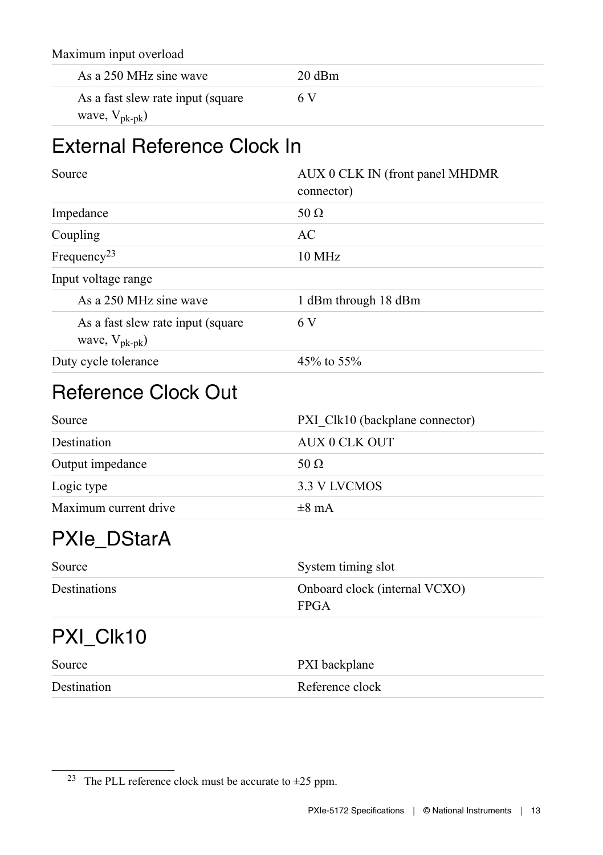<span id="page-12-0"></span>Maximum input overload

| As a 250 MHz sine wave                                      | 20 dBm |
|-------------------------------------------------------------|--------|
| As a fast slew rate input (square)<br>wave, $V_{\rm pk-pk}$ | 6 V    |

## External Reference Clock In

| Source                                                  | AUX 0 CLK IN (front panel MHDMR<br>connector) |
|---------------------------------------------------------|-----------------------------------------------|
| Impedance                                               | 50 $\Omega$                                   |
| Coupling                                                | AC                                            |
| Frequency <sup>23</sup>                                 | 10 MHz                                        |
| Input voltage range                                     |                                               |
| As a 250 MHz sine wave                                  | 1 dBm through 18 dBm                          |
| As a fast slew rate input (square)<br>wave, $V_{pk-pk}$ | 6 V                                           |
| Duty cycle tolerance                                    | $45\%$ to $55\%$                              |

### Reference Clock Out

| PXI Clk10 (backplane connector) |
|---------------------------------|
| AUX 0 CLK OUT                   |
| 50 $\Omega$                     |
| 3.3 V LVCMOS                    |
| $\pm 8$ mA                      |
|                                 |

## PXIe\_DStarA

| Source       | System timing slot                           |
|--------------|----------------------------------------------|
| Destinations | Onboard clock (internal VCXO)<br><b>FPGA</b> |
| PXI_CIk10    |                                              |
| Source       | PXI backplane                                |
| Destination  | Reference clock                              |

<sup>&</sup>lt;sup>23</sup> The PLL reference clock must be accurate to  $\pm$ 25 ppm.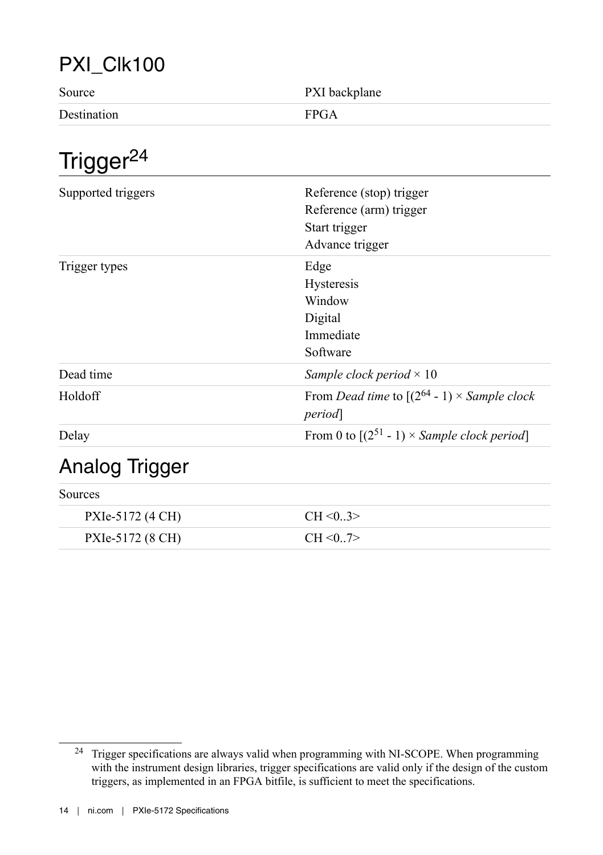## <span id="page-13-0"></span>PXI\_Clk100

| Source      | PXI backplane |
|-------------|---------------|
| Destination | <b>FPGA</b>   |
|             |               |

## Trigger<sup>24</sup>

| Supported triggers | Reference (stop) trigger                                                |
|--------------------|-------------------------------------------------------------------------|
|                    | Reference (arm) trigger                                                 |
|                    | Start trigger                                                           |
|                    | Advance trigger                                                         |
| Trigger types      | Edge                                                                    |
|                    | Hysteresis                                                              |
|                    | Window                                                                  |
|                    | Digital                                                                 |
|                    | Immediate                                                               |
|                    | Software                                                                |
| Dead time          | Sample clock period $\times$ 10                                         |
| Holdoff            | From <i>Dead time</i> to $[(2^{64} - 1) \times Sample clock]$<br>period |
| Delay              | From 0 to $[(2^{51} - 1) \times Sample clock period]$                   |
| Analog Trigger     |                                                                         |
| Sources            |                                                                         |

| PXIe-5172 (4 CH) | $CH \le 0.3$ |
|------------------|--------------|
| PXIe-5172 (8 CH) | $CH \le 0.7$ |

<sup>24</sup> Trigger specifications are always valid when programming with NI-SCOPE. When programming with the instrument design libraries, trigger specifications are valid only if the design of the custom triggers, as implemented in an FPGA bitfile, is sufficient to meet the specifications.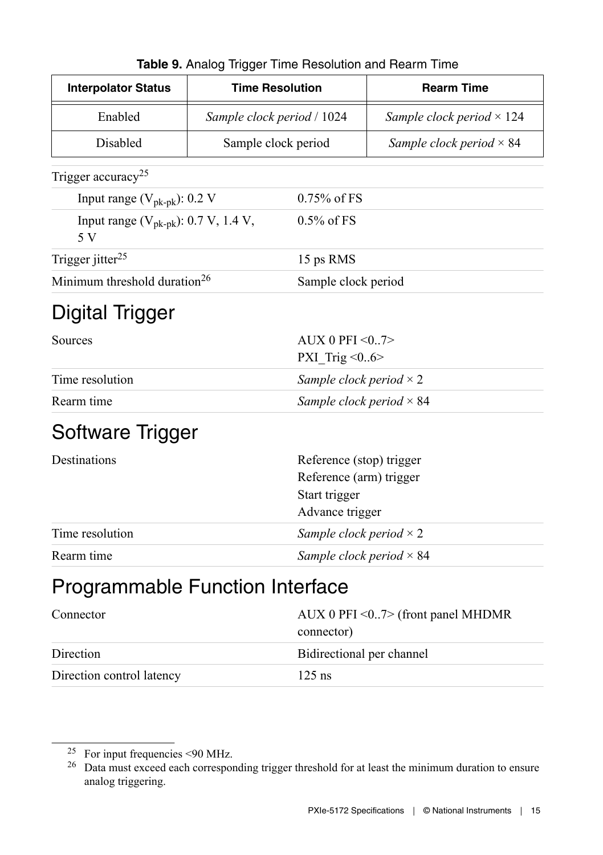<span id="page-14-0"></span>

| <b>Interpolator Status</b>                       | <b>Time Resolution</b>     |                                 | <b>Rearm Time</b>                |
|--------------------------------------------------|----------------------------|---------------------------------|----------------------------------|
| Enabled                                          | Sample clock period / 1024 |                                 | Sample clock period $\times$ 124 |
| Disabled                                         | Sample clock period        |                                 | Sample clock period $\times$ 84  |
| Trigger accuracy <sup>25</sup>                   |                            |                                 |                                  |
| Input range $(V_{pk-pk})$ : 0.2 V                |                            | $0.75\%$ of FS                  |                                  |
| Input range $(V_{pk-pk})$ : 0.7 V, 1.4 V,<br>5 V |                            | $0.5\%$ of FS                   |                                  |
| Trigger jitter <sup>25</sup>                     |                            | 15 ps RMS                       |                                  |
| Minimum threshold duration <sup>26</sup>         |                            | Sample clock period             |                                  |
| Digital Trigger                                  |                            |                                 |                                  |
| Sources                                          |                            | AUX 0 PFI $\leq 0.7$            |                                  |
|                                                  |                            | PXI Trig < $0.6$                |                                  |
| Time resolution                                  |                            | Sample clock period $\times$ 2  |                                  |
| Rearm time                                       |                            | Sample clock period $\times$ 84 |                                  |
| Software Trigger                                 |                            |                                 |                                  |
| Destinations                                     |                            | Reference (stop) trigger        |                                  |
|                                                  | Reference (arm) trigger    |                                 |                                  |
|                                                  |                            | Start trigger                   |                                  |
|                                                  |                            | Advance trigger                 |                                  |
| Time resolution                                  |                            | Sample clock period $\times$ 2  |                                  |
| Rearm time                                       |                            | Sample clock period $\times$ 84 |                                  |

**Table 9.** Analog Trigger Time Resolution and Rearm Time

## Programmable Function Interface

| Connector                 | AUX 0 PFI $\leq 0.7$ (front panel MHDMR)<br>connector) |
|---------------------------|--------------------------------------------------------|
| Direction                 | Bidirectional per channel                              |
| Direction control latency | $125$ ns                                               |

 $\overline{^{25}}$  For input frequencies <90 MHz.

<sup>&</sup>lt;sup>26</sup> Data must exceed each corresponding trigger threshold for at least the minimum duration to ensure analog triggering.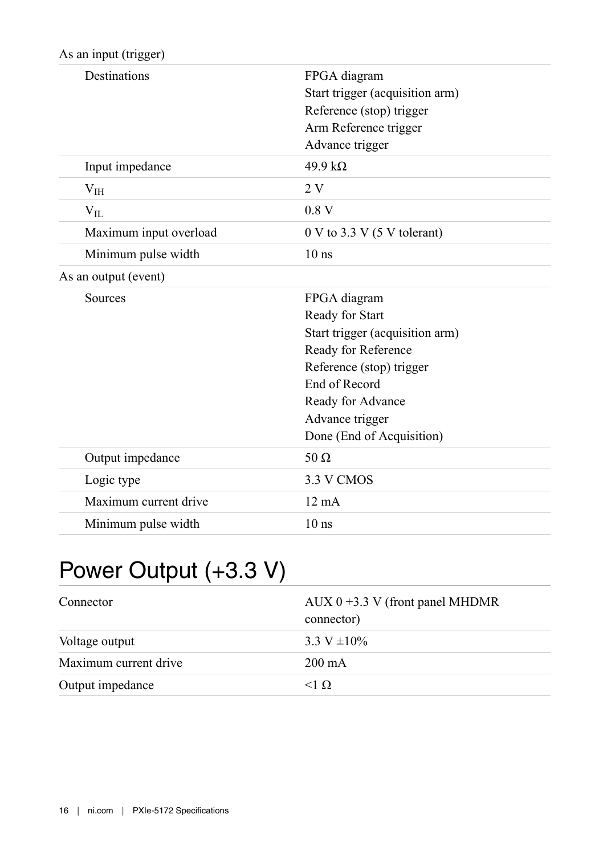#### <span id="page-15-0"></span>As an input (trigger)

| Destinations           | FPGA diagram<br>Start trigger (acquisition arm)<br>Reference (stop) trigger<br>Arm Reference trigger<br>Advance trigger                                                                                     |
|------------------------|-------------------------------------------------------------------------------------------------------------------------------------------------------------------------------------------------------------|
| Input impedance        | $49.9 k\Omega$                                                                                                                                                                                              |
| $V_{IH}$               | 2V                                                                                                                                                                                                          |
| $V_{IL}$               | 0.8V                                                                                                                                                                                                        |
| Maximum input overload | $0 \text{ V}$ to 3.3 V (5 V tolerant)                                                                                                                                                                       |
| Minimum pulse width    | 10 <sub>ns</sub>                                                                                                                                                                                            |
| As an output (event)   |                                                                                                                                                                                                             |
| Sources                | FPGA diagram<br>Ready for Start<br>Start trigger (acquisition arm)<br>Ready for Reference<br>Reference (stop) trigger<br>End of Record<br>Ready for Advance<br>Advance trigger<br>Done (End of Acquisition) |
| Output impedance       | 50 $\Omega$                                                                                                                                                                                                 |
| Logic type             | 3.3 V CMOS                                                                                                                                                                                                  |
| Maximum current drive  | $12 \text{ mA}$                                                                                                                                                                                             |
| Minimum pulse width    | 10 <sub>ns</sub>                                                                                                                                                                                            |

## Power Output (+3.3 V)

| Connector             | AUX $0 + 3.3$ V (front panel MHDMR)<br>connector) |
|-----------------------|---------------------------------------------------|
| Voltage output        | 3.3 V $\pm 10\%$                                  |
| Maximum current drive | $200 \text{ mA}$                                  |
| Output impedance      | $<1$ O.                                           |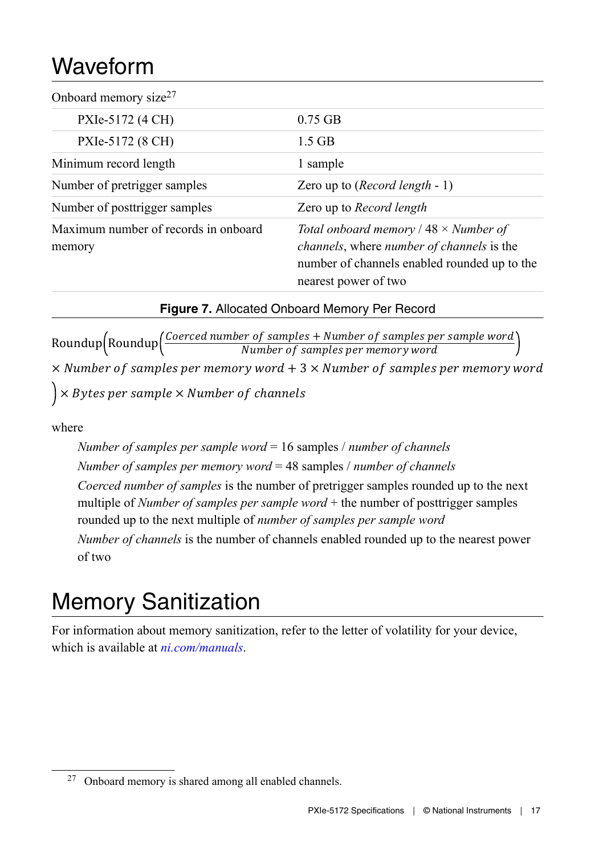## <span id="page-16-0"></span>Waveform

| Onboard memory size $27$                       |                                                                                                                                                                                    |
|------------------------------------------------|------------------------------------------------------------------------------------------------------------------------------------------------------------------------------------|
| PXIe-5172 (4 CH)                               | $0.75$ GB                                                                                                                                                                          |
| PXIe-5172 (8 CH)                               | $1.5$ GB                                                                                                                                                                           |
| Minimum record length                          | 1 sample                                                                                                                                                                           |
| Number of pretrigger samples                   | Zero up to $(Record length - 1)$                                                                                                                                                   |
| Number of posttrigger samples                  | Zero up to <i>Record length</i>                                                                                                                                                    |
| Maximum number of records in onboard<br>memory | Total onboard memory $/$ 48 $\times$ Number of<br><i>channels</i> , where <i>number of channels</i> is the<br>number of channels enabled rounded up to the<br>nearest power of two |

#### **Figure 7.** Allocated Onboard Memory Per Record

Roundup (Roundup) (*Loerced number of samples + Number of samples per sample word*<br>Number of samples per memory word  $\times$  Number of samples per memory word  $+ 3 \times$  Number of samples per memory word

 $\vert x \rangle \times$  Bytes per sample  $\times$  Number of channels

where

*Number of samples per sample word* = 16 samples / *number of channels Number of samples per memory word* = 48 samples / *number of channels Coerced number of samples* is the number of pretrigger samples rounded up to the next multiple of *Number of samples per sample word* + the number of posttrigger samples rounded up to the next multiple of *number of samples per sample word Number of channels* is the number of channels enabled rounded up to the nearest power of two

## Memory Sanitization

For information about memory sanitization, refer to the letter of volatility for your device, which is available at *[ni.com/manuals](http://www.ni.com/manuals)*.

<sup>27</sup> Onboard memory is shared among all enabled channels.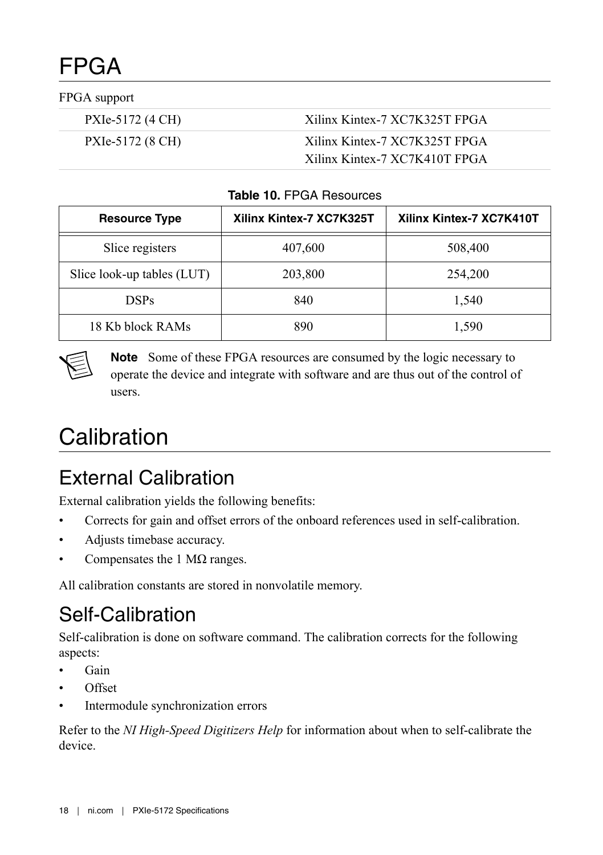## <span id="page-17-0"></span>FPGA

FPGA support

| PXIe-5172 (4 CH) | Xilinx Kintex-7 XC7K325T FPGA |
|------------------|-------------------------------|
| PXIe-5172 (8 CH) | Xilinx Kintex-7 XC7K325T FPGA |
|                  | Xilinx Kintex-7 XC7K410T FPGA |

#### **Table 10.** FPGA Resources

| <b>Resource Type</b>       | Xilinx Kintex-7 XC7K325T | Xilinx Kintex-7 XC7K410T |
|----------------------------|--------------------------|--------------------------|
| Slice registers            | 407,600                  | 508,400                  |
| Slice look-up tables (LUT) | 203,800                  | 254,200                  |
| <b>DSPs</b>                | 840                      | 1,540                    |
| 18 Kb block RAMs           | 890                      | 1,590                    |



**Note** Some of these FPGA resources are consumed by the logic necessary to operate the device and integrate with software and are thus out of the control of users.

## **Calibration**

### External Calibration

External calibration yields the following benefits:

- Corrects for gain and offset errors of the onboard references used in self-calibration.
- Adjusts timebase accuracy.
- Compensates the 1 M $\Omega$  ranges.

All calibration constants are stored in nonvolatile memory.

### Self-Calibration

Self-calibration is done on software command. The calibration corrects for the following aspects:

- Gain
- Offset
- Intermodule synchronization errors

Refer to the *NI High-Speed Digitizers Help* for information about when to self-calibrate the device.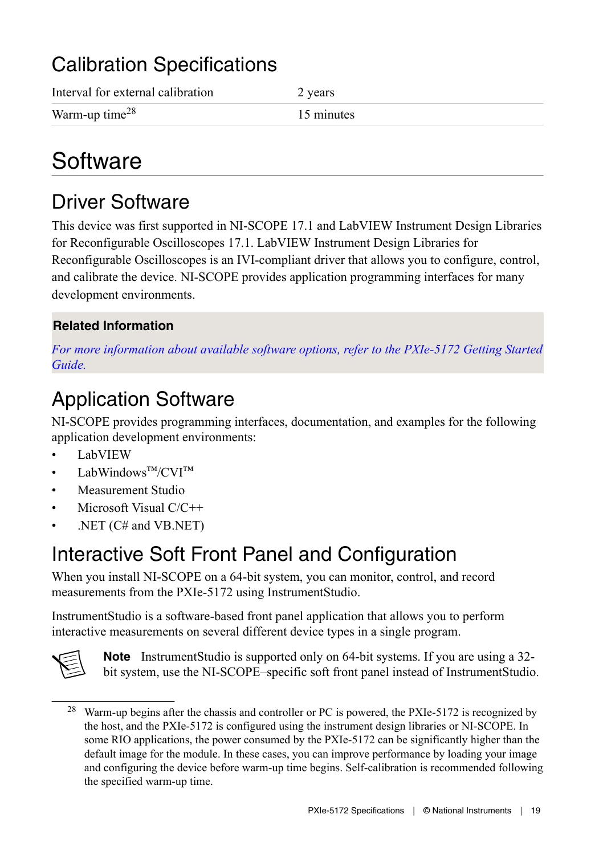## <span id="page-18-0"></span>Calibration Specifications

| Interval for external calibration | 2 years    |
|-----------------------------------|------------|
| Warm-up time <sup>28</sup>        | 15 minutes |

## Software

## Driver Software

This device was first supported in NI-SCOPE 17.1 and LabVIEW Instrument Design Libraries for Reconfigurable Oscilloscopes 17.1. LabVIEW Instrument Design Libraries for Reconfigurable Oscilloscopes is an IVI-compliant driver that allows you to configure, control, and calibrate the device. NI-SCOPE provides application programming interfaces for many development environments.

#### **Related Information**

*[For more information about available software options, refer to the PXIe-5172 Getting Started](http://www.ni.com/manuals) [Guide.](http://www.ni.com/manuals)*

### Application Software

NI-SCOPE provides programming interfaces, documentation, and examples for the following application development environments:

- LabVIEW
- LabWindows™/CVI™
- Measurement Studio
- Microsoft Visual C/C++
- .NET (C# and VB.NET)

## Interactive Soft Front Panel and Configuration

When you install NI-SCOPE on a 64-bit system, you can monitor, control, and record measurements from the PXIe-5172 using InstrumentStudio.

InstrumentStudio is a software-based front panel application that allows you to perform interactive measurements on several different device types in a single program.



**Note** InstrumentStudio is supported only on 64-bit systems. If you are using a 32 bit system, use the NI-SCOPE–specific soft front panel instead of InstrumentStudio.

<sup>&</sup>lt;sup>28</sup> Warm-up begins after the chassis and controller or PC is powered, the PXIe-5172 is recognized by the host, and the PXIe-5172 is configured using the instrument design libraries or NI-SCOPE. In some RIO applications, the power consumed by the PXIe-5172 can be significantly higher than the default image for the module. In these cases, you can improve performance by loading your image and configuring the device before warm-up time begins. Self-calibration is recommended following the specified warm-up time.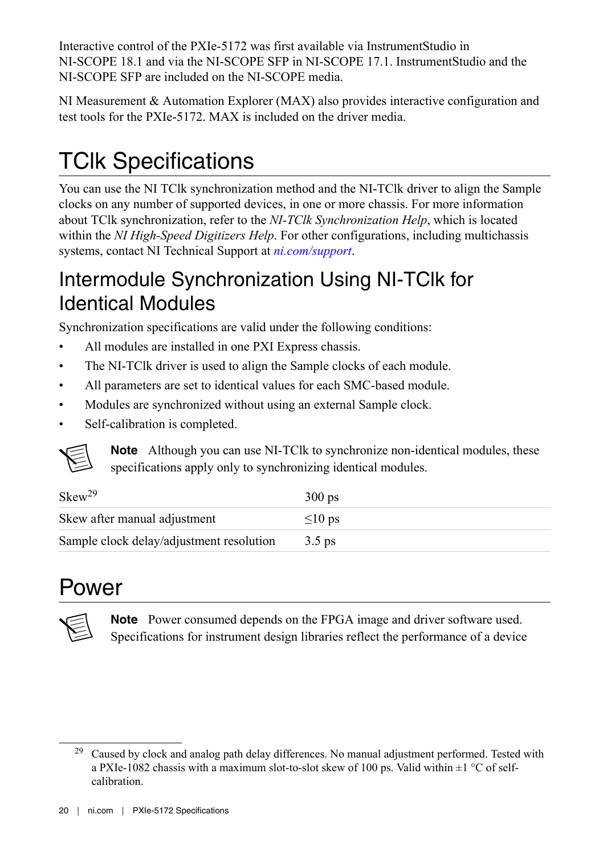<span id="page-19-0"></span>Interactive control of the PXIe-5172 was first available via InstrumentStudio in NI-SCOPE 18.1 and via the NI-SCOPE SFP in NI-SCOPE 17.1. InstrumentStudio and the NI-SCOPE SFP are included on the NI-SCOPE media.

NI Measurement & Automation Explorer (MAX) also provides interactive configuration and test tools for the PXIe-5172. MAX is included on the driver media.

## TClk Specifications

You can use the NI TClk synchronization method and the NI-TClk driver to align the Sample clocks on any number of supported devices, in one or more chassis. For more information about TClk synchronization, refer to the *NI-TClk Synchronization Help*, which is located within the *NI High-Speed Digitizers Help*. For other configurations, including multichassis systems, contact NI Technical Support at *[ni.com/support](http://www.ni.com/support)*.

### Intermodule Synchronization Using NI-TClk for Identical Modules

Synchronization specifications are valid under the following conditions:

- All modules are installed in one PXI Express chassis.
- The NI-TClk driver is used to align the Sample clocks of each module.
- All parameters are set to identical values for each SMC-based module.
- Modules are synchronized without using an external Sample clock.
- Self-calibration is completed.

**Note** Although you can use NI-TClk to synchronize non-identical modules, these specifications apply only to synchronizing identical modules.

| $Skew^{29}$                              | $300$ ps     |
|------------------------------------------|--------------|
| Skew after manual adjustment             | $\leq 10$ ps |
| Sample clock delay/adjustment resolution | $3.5$ ps     |

## Power

**Note** Power consumed depends on the FPGA image and driver software used. Specifications for instrument design libraries reflect the performance of a device

<sup>&</sup>lt;sup>29</sup> Caused by clock and analog path delay differences. No manual adjustment performed. Tested with a PXIe-1082 chassis with a maximum slot-to-slot skew of 100 ps. Valid within  $\pm 1$  °C of selfcalibration.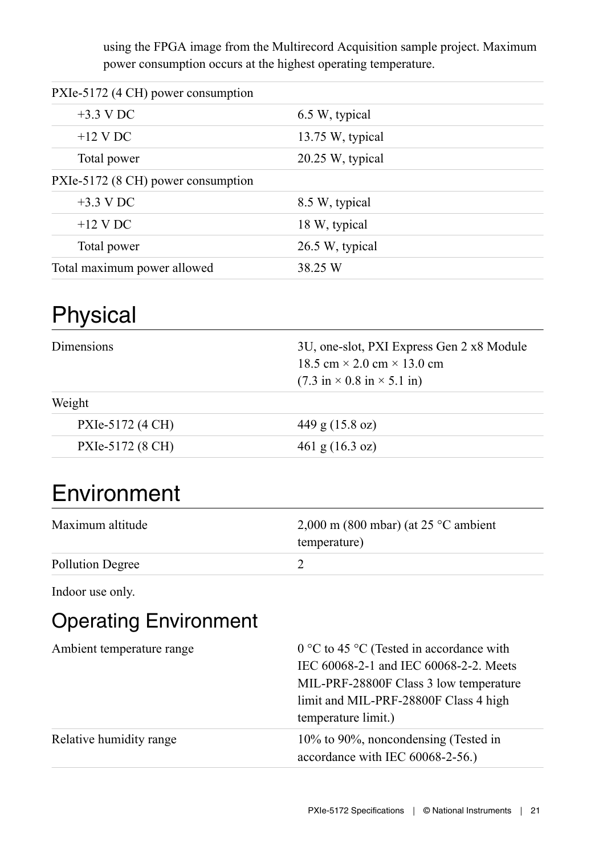using the FPGA image from the Multirecord Acquisition sample project. Maximum power consumption occurs at the highest operating temperature.

<span id="page-20-0"></span>

| PXIe-5172 (4 CH) power consumption |                  |
|------------------------------------|------------------|
| $+3.3$ V DC                        | 6.5 W, typical   |
| $+12$ V DC                         | 13.75 W, typical |
| Total power                        | 20.25 W, typical |
| PXIe-5172 (8 CH) power consumption |                  |
| $+3.3$ V DC                        | 8.5 W, typical   |
| $+12$ V DC                         | 18 W, typical    |
| Total power                        | 26.5 W, typical  |
| Total maximum power allowed        | 38.25 W          |

## Physical

| <b>Dimensions</b> | 3U, one-slot, PXI Express Gen 2 x8 Module<br>18.5 cm $\times$ 2.0 cm $\times$ 13.0 cm<br>$(7.3 \text{ in} \times 0.8 \text{ in} \times 5.1 \text{ in})$ |
|-------------------|---------------------------------------------------------------------------------------------------------------------------------------------------------|
| Weight            |                                                                                                                                                         |
| PXIe-5172 (4 CH)  | 449 g $(15.8 \text{ oz})$                                                                                                                               |
| PXIe-5172 (8 CH)  | $461$ g $(16.3$ oz)                                                                                                                                     |

## Environment

| Maximum altitude | $2,000$ m (800 mbar) (at 25 °C ambient<br>temperature) |
|------------------|--------------------------------------------------------|
| Pollution Degree |                                                        |

Indoor use only.

### Operating Environment

| Ambient temperature range | $0^{\circ}$ C to 45 °C (Tested in accordance with<br>IEC 60068-2-1 and IEC 60068-2-2. Meets<br>MIL-PRF-28800F Class 3 low temperature<br>limit and MIL-PRF-28800F Class 4 high<br>temperature limit.) |
|---------------------------|-------------------------------------------------------------------------------------------------------------------------------------------------------------------------------------------------------|
| Relative humidity range   | 10% to 90%, noncondensing (Tested in<br>accordance with IEC 60068-2-56.)                                                                                                                              |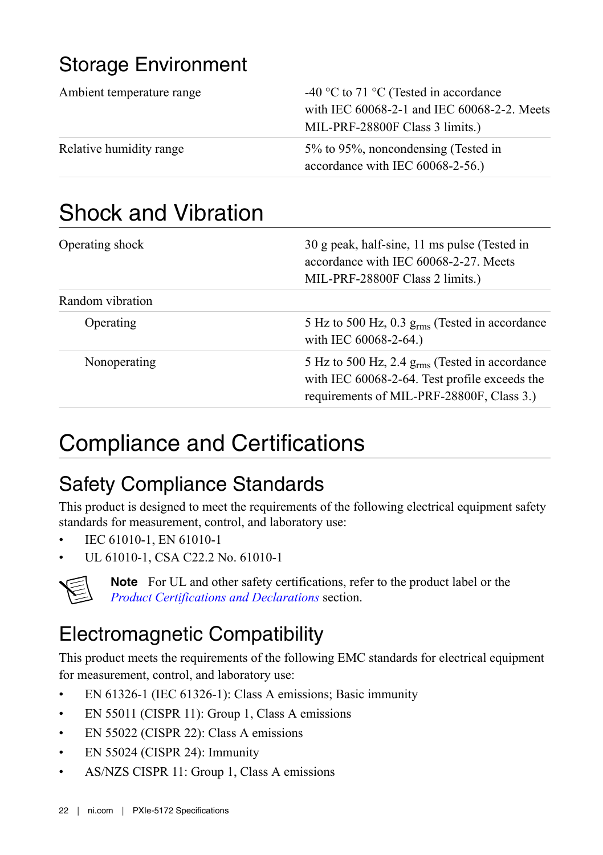## <span id="page-21-0"></span>Storage Environment

| Ambient temperature range | -40 °C to 71 °C (Tested in accordance<br>with IEC 60068-2-1 and IEC 60068-2-2. Meets<br>MIL-PRF-28800F Class 3 limits.) |  |
|---------------------------|-------------------------------------------------------------------------------------------------------------------------|--|
| Relative humidity range   | 5% to 95%, noncondensing (Tested in<br>accordance with IEC 60068-2-56.)                                                 |  |

## Shock and Vibration

| Operating shock  | 30 g peak, half-sine, 11 ms pulse (Tested in<br>accordance with IEC 60068-2-27. Meets<br>MIL-PRF-28800F Class 2 limits.)                       |
|------------------|------------------------------------------------------------------------------------------------------------------------------------------------|
| Random vibration |                                                                                                                                                |
| Operating        | 5 Hz to 500 Hz, 0.3 g <sub>rms</sub> (Tested in accordance<br>with IEC 60068-2-64.)                                                            |
| Nonoperating     | 5 Hz to 500 Hz, 2.4 $grms$ (Tested in accordance<br>with IEC 60068-2-64. Test profile exceeds the<br>requirements of MIL-PRF-28800F, Class 3.) |

## Compliance and Certifications

## Safety Compliance Standards

This product is designed to meet the requirements of the following electrical equipment safety standards for measurement, control, and laboratory use:

- IEC 61010-1, EN 61010-1
- UL 61010-1, CSA C22.2 No. 61010-1



**Note** For UL and other safety certifications, refer to the product label or the *[Product Certifications and Declarations](#page-22-0)* section.

## Electromagnetic Compatibility

This product meets the requirements of the following EMC standards for electrical equipment for measurement, control, and laboratory use:

- EN 61326-1 (IEC 61326-1): Class A emissions; Basic immunity
- EN 55011 (CISPR 11): Group 1, Class A emissions
- EN 55022 (CISPR 22): Class A emissions
- EN 55024 (CISPR 24): Immunity
- AS/NZS CISPR 11: Group 1, Class A emissions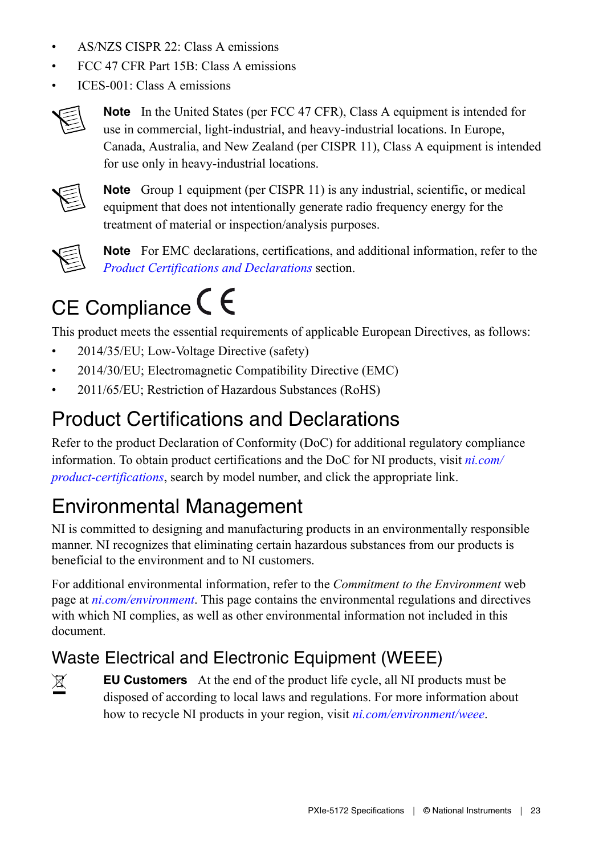- <span id="page-22-0"></span>• AS/NZS CISPR 22: Class A emissions
- FCC 47 CFR Part 15B: Class A emissions
- ICES-001: Class A emissions



**Note** In the United States (per FCC 47 CFR), Class A equipment is intended for use in commercial, light-industrial, and heavy-industrial locations. In Europe, Canada, Australia, and New Zealand (per CISPR 11), Class A equipment is intended for use only in heavy-industrial locations.



**Note** Group 1 equipment (per CISPR 11) is any industrial, scientific, or medical equipment that does not intentionally generate radio frequency energy for the treatment of material or inspection/analysis purposes.



**Note** For EMC declarations, certifications, and additional information, refer to the *Product Certifications and Declarations* section.

# CE Compliance C  $\epsilon$

This product meets the essential requirements of applicable European Directives, as follows:

- 2014/35/EU; Low-Voltage Directive (safety)
- 2014/30/EU; Electromagnetic Compatibility Directive (EMC)
- 2011/65/EU; Restriction of Hazardous Substances (RoHS)

## Product Certifications and Declarations

Refer to the product Declaration of Conformity (DoC) for additional regulatory compliance information. To obtain product certifications and the DoC for NI products, visit *[ni.com/](http://www.ni.com/en-us/support/documentation/product-certifications.html) [product-certifications](http://www.ni.com/en-us/support/documentation/product-certifications.html)*, search by model number, and click the appropriate link.

## Environmental Management

NI is committed to designing and manufacturing products in an environmentally responsible manner. NI recognizes that eliminating certain hazardous substances from our products is beneficial to the environment and to NI customers.

For additional environmental information, refer to the *Commitment to the Environment* web page at *[ni.com/environment](http://www.ni.com/en-us/about-ni/corporate-responsibility/environment.html)*. This page contains the environmental regulations and directives with which NI complies, as well as other environmental information not included in this document.

### Waste Electrical and Electronic Equipment (WEEE)

**EU Customers** At the end of the product life cycle, all NI products must be  $\mathbb{X}$ disposed of according to local laws and regulations. For more information about how to recycle NI products in your region, visit *[ni.com/environment/weee](http://www.ni.com/company/shared-value/environment/product-lifecycle/take-back/#h32)*.